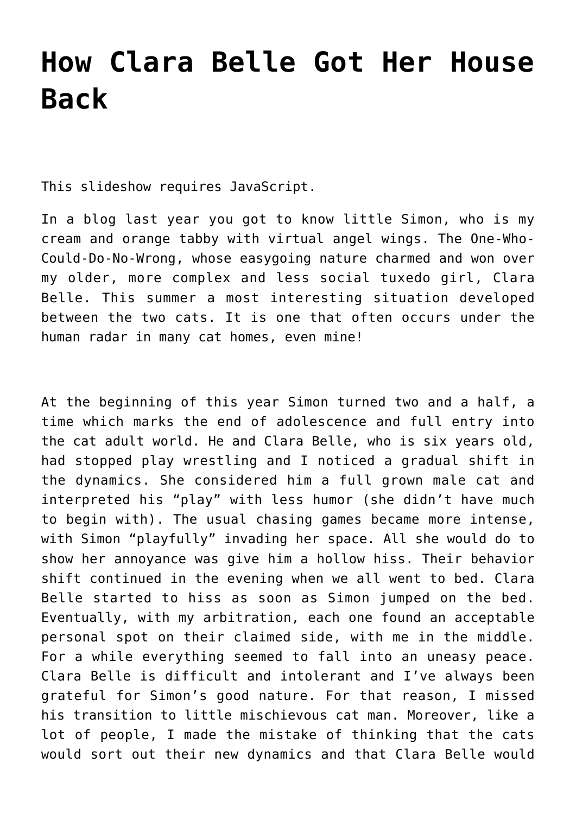## **[How Clara Belle Got Her House](https://brigittenoel.com/how-clara-belle-got-her-house-back/) [Back](https://brigittenoel.com/how-clara-belle-got-her-house-back/)**

This slideshow requires JavaScript.

In a blog last year you got to know little Simon, who is my cream and orange tabby with virtual angel wings. The One-Who-Could-Do-No-Wrong, whose easygoing nature charmed and won over my older, more complex and less social tuxedo girl, Clara Belle. This summer a most interesting situation developed between the two cats. It is one that often occurs under the human radar in many cat homes, even mine!

At the beginning of this year Simon turned two and a half, a time which marks the end of adolescence and full entry into the cat adult world. He and Clara Belle, who is six years old, had stopped play wrestling and I noticed a gradual shift in the dynamics. She considered him a full grown male cat and interpreted his "play" with less humor (she didn't have much to begin with). The usual chasing games became more intense, with Simon "playfully" invading her space. All she would do to show her annoyance was give him a hollow hiss. Their behavior shift continued in the evening when we all went to bed. Clara Belle started to hiss as soon as Simon jumped on the bed. Eventually, with my arbitration, each one found an acceptable personal spot on their claimed side, with me in the middle. For a while everything seemed to fall into an uneasy peace. Clara Belle is difficult and intolerant and I've always been grateful for Simon's good nature. For that reason, I missed his transition to little mischievous cat man. Moreover, like a lot of people, I made the mistake of thinking that the cats would sort out their new dynamics and that Clara Belle would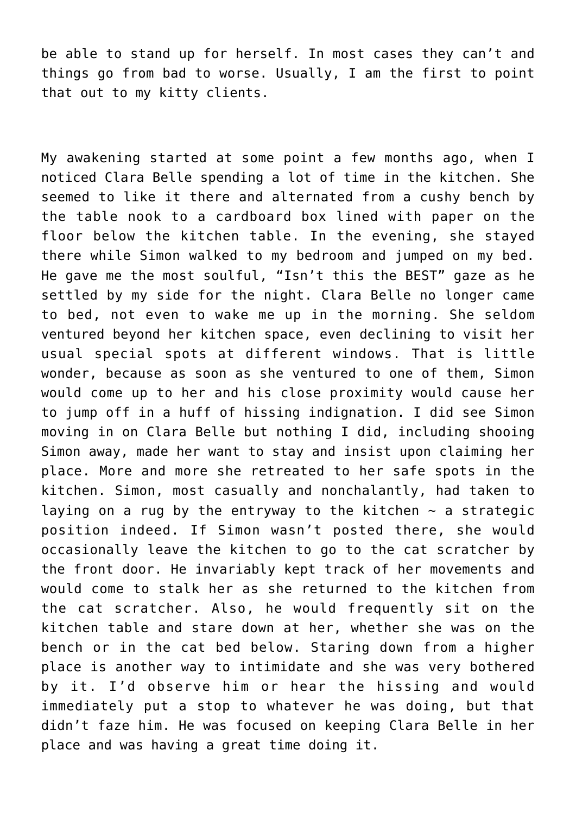be able to stand up for herself. In most cases they can't and things go from bad to worse. Usually, I am the first to point that out to my kitty clients.

My awakening started at some point a few months ago, when I noticed Clara Belle spending a lot of time in the kitchen. She seemed to like it there and alternated from a cushy bench by the table nook to a cardboard box lined with paper on the floor below the kitchen table. In the evening, she stayed there while Simon walked to my bedroom and jumped on my bed. He gave me the most soulful, "Isn't this the BEST" gaze as he settled by my side for the night. Clara Belle no longer came to bed, not even to wake me up in the morning. She seldom ventured beyond her kitchen space, even declining to visit her usual special spots at different windows. That is little wonder, because as soon as she ventured to one of them, Simon would come up to her and his close proximity would cause her to jump off in a huff of hissing indignation. I did see Simon moving in on Clara Belle but nothing I did, including shooing Simon away, made her want to stay and insist upon claiming her place. More and more she retreated to her safe spots in the kitchen. Simon, most casually and nonchalantly, had taken to laying on a rug by the entryway to the kitchen  $\sim$  a strategic position indeed. If Simon wasn't posted there, she would occasionally leave the kitchen to go to the cat scratcher by the front door. He invariably kept track of her movements and would come to stalk her as she returned to the kitchen from the cat scratcher. Also, he would frequently sit on the kitchen table and stare down at her, whether she was on the bench or in the cat bed below. Staring down from a higher place is another way to intimidate and she was very bothered by it. I'd observe him or hear the hissing and would immediately put a stop to whatever he was doing, but that didn't faze him. He was focused on keeping Clara Belle in her place and was having a great time doing it.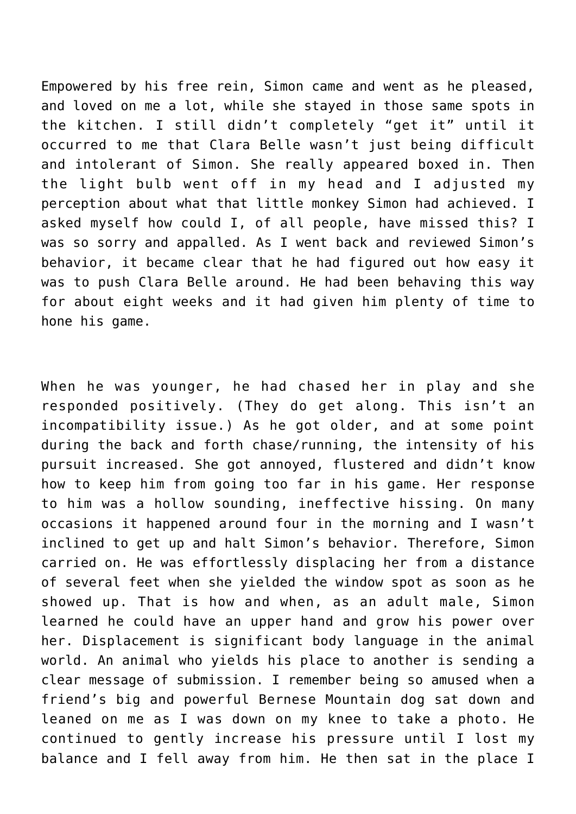Empowered by his free rein, Simon came and went as he pleased, and loved on me a lot, while she stayed in those same spots in the kitchen. I still didn't completely "get it" until it occurred to me that Clara Belle wasn't just being difficult and intolerant of Simon. She really appeared boxed in. Then the light bulb went off in my head and I adjusted my perception about what that little monkey Simon had achieved. I asked myself how could I, of all people, have missed this? I

was so sorry and appalled. As I went back and reviewed Simon's behavior, it became clear that he had figured out how easy it was to push Clara Belle around. He had been behaving this way for about eight weeks and it had given him plenty of time to hone his game.

When he was younger, he had chased her in play and she responded positively. (They do get along. This isn't an incompatibility issue.) As he got older, and at some point during the back and forth chase/running, the intensity of his pursuit increased. She got annoyed, flustered and didn't know how to keep him from going too far in his game. Her response to him was a hollow sounding, ineffective hissing. On many occasions it happened around four in the morning and I wasn't inclined to get up and halt Simon's behavior. Therefore, Simon carried on. He was effortlessly displacing her from a distance of several feet when she yielded the window spot as soon as he showed up. That is how and when, as an adult male, Simon learned he could have an upper hand and grow his power over her. Displacement is significant body language in the animal world. An animal who yields his place to another is sending a clear message of submission. I remember being so amused when a friend's big and powerful Bernese Mountain dog sat down and leaned on me as I was down on my knee to take a photo. He continued to gently increase his pressure until I lost my balance and I fell away from him. He then sat in the place I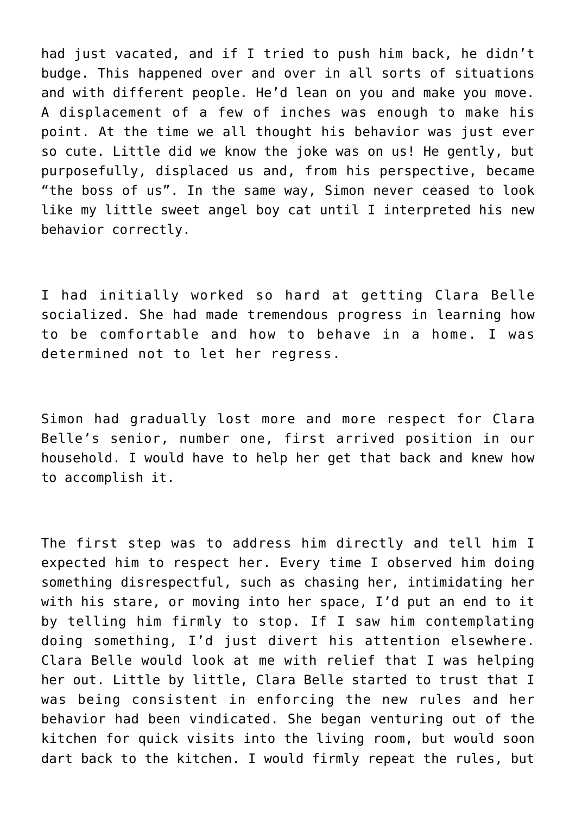had just vacated, and if I tried to push him back, he didn't budge. This happened over and over in all sorts of situations and with different people. He'd lean on you and make you move. A displacement of a few of inches was enough to make his point. At the time we all thought his behavior was just ever so cute. Little did we know the joke was on us! He gently, but purposefully, displaced us and, from his perspective, became "the boss of us". In the same way, Simon never ceased to look like my little sweet angel boy cat until I interpreted his new behavior correctly.

I had initially worked so hard at getting Clara Belle socialized. She had made tremendous progress in learning how to be comfortable and how to behave in a home. I was determined not to let her regress.

Simon had gradually lost more and more respect for Clara Belle's senior, number one, first arrived position in our household. I would have to help her get that back and knew how to accomplish it.

The first step was to address him directly and tell him I expected him to respect her. Every time I observed him doing something disrespectful, such as chasing her, intimidating her with his stare, or moving into her space, I'd put an end to it by telling him firmly to stop. If I saw him contemplating doing something, I'd just divert his attention elsewhere. Clara Belle would look at me with relief that I was helping her out. Little by little, Clara Belle started to trust that I was being consistent in enforcing the new rules and her behavior had been vindicated. She began venturing out of the kitchen for quick visits into the living room, but would soon dart back to the kitchen. I would firmly repeat the rules, but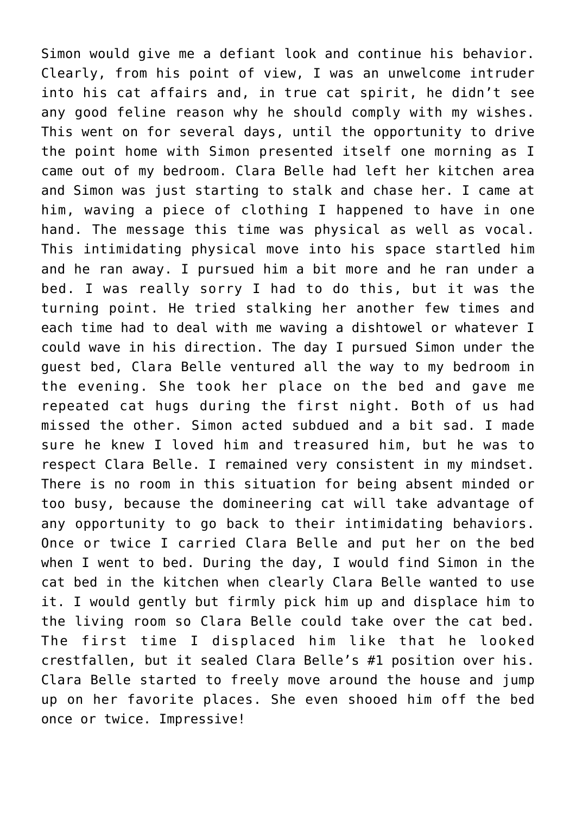Simon would give me a defiant look and continue his behavior. Clearly, from his point of view, I was an unwelcome intruder into his cat affairs and, in true cat spirit, he didn't see any good feline reason why he should comply with my wishes. This went on for several days, until the opportunity to drive the point home with Simon presented itself one morning as I came out of my bedroom. Clara Belle had left her kitchen area and Simon was just starting to stalk and chase her. I came at him, waving a piece of clothing I happened to have in one hand. The message this time was physical as well as vocal. This intimidating physical move into his space startled him and he ran away. I pursued him a bit more and he ran under a bed. I was really sorry I had to do this, but it was the turning point. He tried stalking her another few times and each time had to deal with me waving a dishtowel or whatever I could wave in his direction. The day I pursued Simon under the guest bed, Clara Belle ventured all the way to my bedroom in the evening. She took her place on the bed and gave me repeated cat hugs during the first night. Both of us had missed the other. Simon acted subdued and a bit sad. I made sure he knew I loved him and treasured him, but he was to respect Clara Belle. I remained very consistent in my mindset. There is no room in this situation for being absent minded or too busy, because the domineering cat will take advantage of any opportunity to go back to their intimidating behaviors. Once or twice I carried Clara Belle and put her on the bed when I went to bed. During the day, I would find Simon in the cat bed in the kitchen when clearly Clara Belle wanted to use it. I would gently but firmly pick him up and displace him to the living room so Clara Belle could take over the cat bed. The first time I displaced him like that he looked crestfallen, but it sealed Clara Belle's #1 position over his. Clara Belle started to freely move around the house and jump up on her favorite places. She even shooed him off the bed once or twice. Impressive!